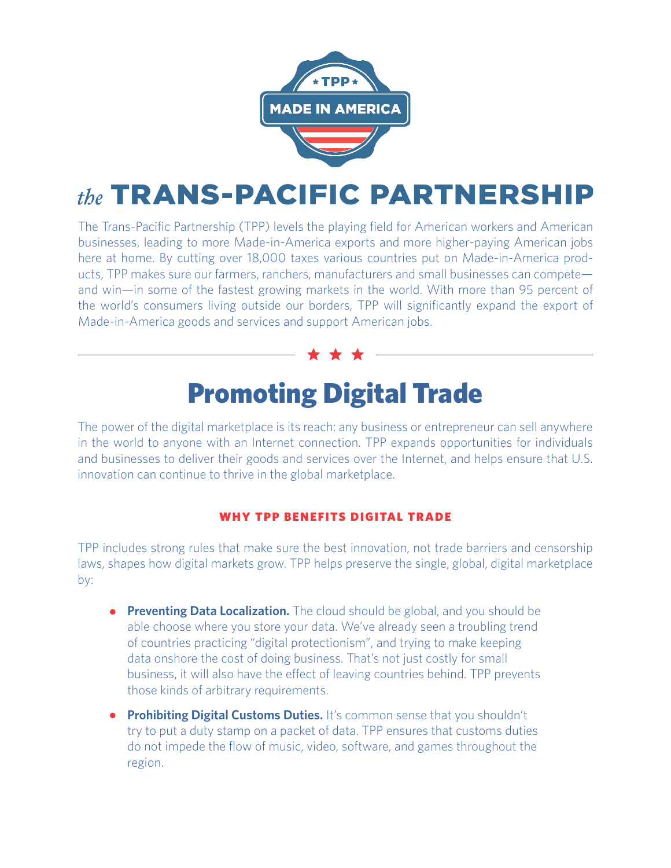

## the TRANS-PACIFIC PARTNERSHIP

The Trans-Pacific Partnership (TPP) levels the playing field for American workers and American businesses, leading to more Made-in-America exports and more higher-paying American jobs here at home. By cutting over 18,000 taxes various countries put on Made-in-America products, TPP makes sure our farmers, ranchers, manufacturers and small businesses can compete and win—in some of the fastest growing markets in the world. With more than 95 percent of the world's consumers living outside our borders, TPP will significantly expand the export of Made-in-America goods and services and support American jobs.

## Promoting Digital Trade

The power of the digital marketplace is its reach: any business or entrepreneur can sell anywhere in the world to anyone with an Internet connection. TPP expands opportunities for individuals and businesses to deliver their goods and services over the Internet, and helps ensure that U.S. innovation can continue to thrive in the global marketplace.

## WHY TPP BENEFITS DIGITAL TRADE

TPP includes strong rules that make sure the best innovation, not trade barriers and censorship laws, shapes how digital markets grow. TPP helps preserve the single, global, digital marketplace by:

- **• Preventing Data Localization.** The cloud should be global, and you should be able choose where you store your data. We've already seen a troubling trend of countries practicing "digital protectionism", and trying to make keeping data onshore the cost of doing business. That's not just costly for small business, it will also have the effect of leaving countries behind. TPP prevents those kinds of arbitrary requirements.
- **• Prohibiting Digital Customs Duties.** It's common sense that you shouldn't try to put a duty stamp on a packet of data. TPP ensures that customs duties do not impede the flow of music, video, software, and games throughout the region.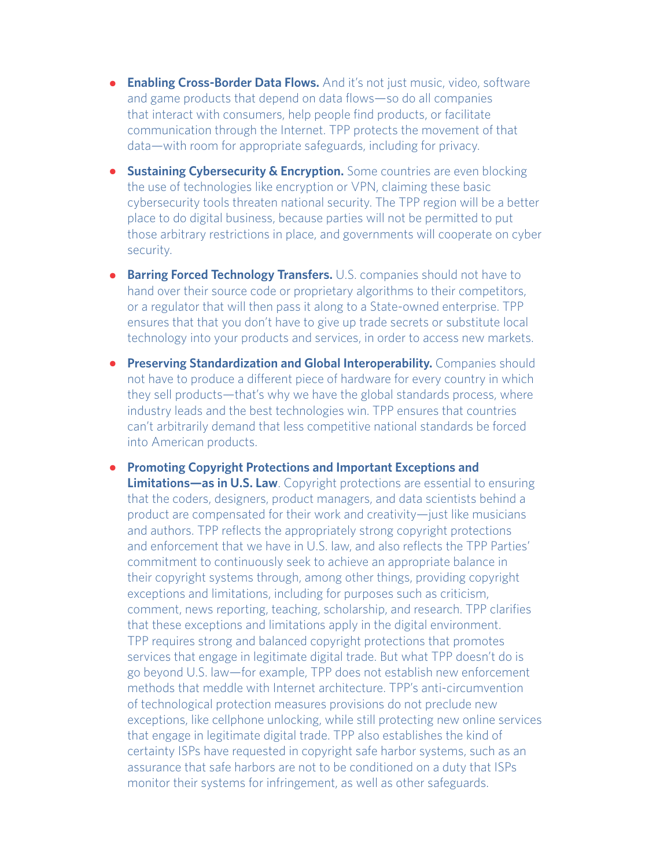- **• Enabling Cross-Border Data Flows.** And it's not just music, video, software and game products that depend on data flows—so do all companies that interact with consumers, help people find products, or facilitate communication through the Internet. TPP protects the movement of that data—with room for appropriate safeguards, including for privacy.
- **• Sustaining Cybersecurity & Encryption.** Some countries are even blocking the use of technologies like encryption or VPN, claiming these basic cybersecurity tools threaten national security. The TPP region will be a better place to do digital business, because parties will not be permitted to put those arbitrary restrictions in place, and governments will cooperate on cyber security.
- **• Barring Forced Technology Transfers.** U.S. companies should not have to hand over their source code or proprietary algorithms to their competitors, or a regulator that will then pass it along to a State-owned enterprise. TPP ensures that that you don't have to give up trade secrets or substitute local technology into your products and services, in order to access new markets.
- **• Preserving Standardization and Global Interoperability.** Companies should not have to produce a different piece of hardware for every country in which they sell products—that's why we have the global standards process, where industry leads and the best technologies win. TPP ensures that countries can't arbitrarily demand that less competitive national standards be forced into American products.
- **• Promoting Copyright Protections and Important Exceptions and Limitations—as in U.S. Law**. Copyright protections are essential to ensuring that the coders, designers, product managers, and data scientists behind a product are compensated for their work and creativity—just like musicians and authors. TPP reflects the appropriately strong copyright protections and enforcement that we have in U.S. law, and also reflects the TPP Parties' commitment to continuously seek to achieve an appropriate balance in their copyright systems through, among other things, providing copyright exceptions and limitations, including for purposes such as criticism, comment, news reporting, teaching, scholarship, and research. TPP clarifies that these exceptions and limitations apply in the digital environment. TPP requires strong and balanced copyright protections that promotes services that engage in legitimate digital trade. But what TPP doesn't do is go beyond U.S. law—for example, TPP does not establish new enforcement methods that meddle with Internet architecture. TPP's anti-circumvention of technological protection measures provisions do not preclude new exceptions, like cellphone unlocking, while still protecting new online services that engage in legitimate digital trade. TPP also establishes the kind of certainty ISPs have requested in copyright safe harbor systems, such as an assurance that safe harbors are not to be conditioned on a duty that ISPs monitor their systems for infringement, as well as other safeguards.